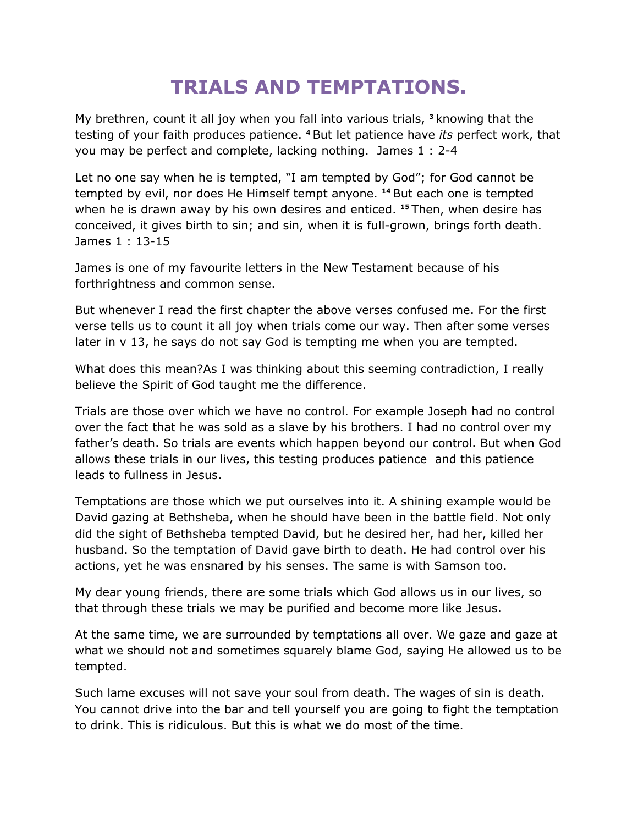## **TRIALS AND TEMPTATIONS.**

My brethren, count it all joy when you fall into various trials, **<sup>3</sup>** knowing that the testing of your faith produces patience. **<sup>4</sup>** But let patience have *its* perfect work, that you may be perfect and complete, lacking nothing. James 1 : 2-4

Let no one say when he is tempted, "I am tempted by God"; for God cannot be tempted by evil, nor does He Himself tempt anyone. **<sup>14</sup>** But each one is tempted when he is drawn away by his own desires and enticed. **<sup>15</sup>** Then, when desire has conceived, it gives birth to sin; and sin, when it is full-grown, brings forth death. James 1 : 13-15

James is one of my favourite letters in the New Testament because of his forthrightness and common sense.

But whenever I read the first chapter the above verses confused me. For the first verse tells us to count it all joy when trials come our way. Then after some verses later in v 13, he says do not say God is tempting me when you are tempted.

What does this mean?As I was thinking about this seeming contradiction, I really believe the Spirit of God taught me the difference.

Trials are those over which we have no control. For example Joseph had no control over the fact that he was sold as a slave by his brothers. I had no control over my father's death. So trials are events which happen beyond our control. But when God allows these trials in our lives, this testing produces patience and this patience leads to fullness in Jesus.

Temptations are those which we put ourselves into it. A shining example would be David gazing at Bethsheba, when he should have been in the battle field. Not only did the sight of Bethsheba tempted David, but he desired her, had her, killed her husband. So the temptation of David gave birth to death. He had control over his actions, yet he was ensnared by his senses. The same is with Samson too.

My dear young friends, there are some trials which God allows us in our lives, so that through these trials we may be purified and become more like Jesus.

At the same time, we are surrounded by temptations all over. We gaze and gaze at what we should not and sometimes squarely blame God, saying He allowed us to be tempted.

Such lame excuses will not save your soul from death. The wages of sin is death. You cannot drive into the bar and tell yourself you are going to fight the temptation to drink. This is ridiculous. But this is what we do most of the time.